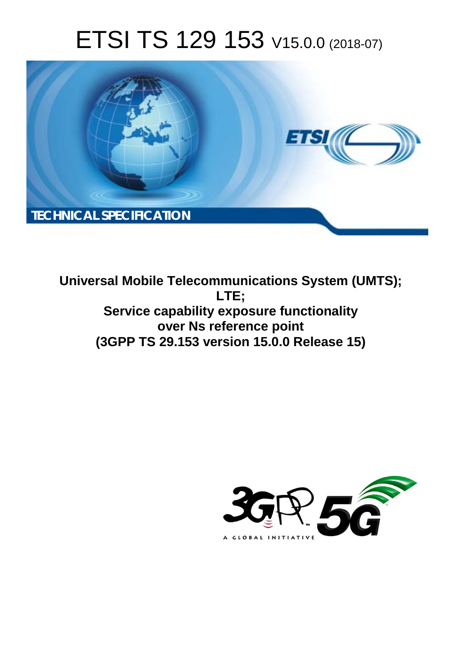# ETSI TS 129 153 V15.0.0 (2018-07)



**Universal Mobile Telecommunications System (UMTS); LTE; Service capability exposure functionality over Ns reference point (3GPP TS 29.153 version 15.0.0 Release 15)** 

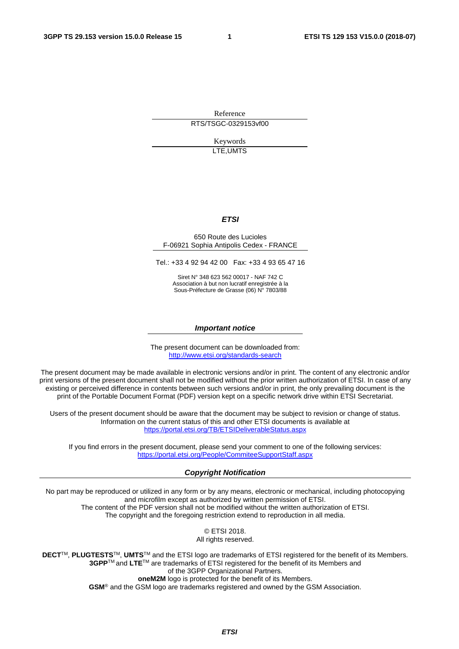Reference RTS/TSGC-0329153vf00

> Keywords LTE,UMTS

#### *ETSI*

#### 650 Route des Lucioles F-06921 Sophia Antipolis Cedex - FRANCE

Tel.: +33 4 92 94 42 00 Fax: +33 4 93 65 47 16

Siret N° 348 623 562 00017 - NAF 742 C Association à but non lucratif enregistrée à la Sous-Préfecture de Grasse (06) N° 7803/88

#### *Important notice*

The present document can be downloaded from: <http://www.etsi.org/standards-search>

The present document may be made available in electronic versions and/or in print. The content of any electronic and/or print versions of the present document shall not be modified without the prior written authorization of ETSI. In case of any existing or perceived difference in contents between such versions and/or in print, the only prevailing document is the print of the Portable Document Format (PDF) version kept on a specific network drive within ETSI Secretariat.

Users of the present document should be aware that the document may be subject to revision or change of status. Information on the current status of this and other ETSI documents is available at <https://portal.etsi.org/TB/ETSIDeliverableStatus.aspx>

If you find errors in the present document, please send your comment to one of the following services: <https://portal.etsi.org/People/CommiteeSupportStaff.aspx>

#### *Copyright Notification*

No part may be reproduced or utilized in any form or by any means, electronic or mechanical, including photocopying and microfilm except as authorized by written permission of ETSI. The content of the PDF version shall not be modified without the written authorization of ETSI. The copyright and the foregoing restriction extend to reproduction in all media.

> © ETSI 2018. All rights reserved.

**DECT**TM, **PLUGTESTS**TM, **UMTS**TM and the ETSI logo are trademarks of ETSI registered for the benefit of its Members. **3GPP**TM and **LTE**TM are trademarks of ETSI registered for the benefit of its Members and of the 3GPP Organizational Partners. **oneM2M** logo is protected for the benefit of its Members.

**GSM**® and the GSM logo are trademarks registered and owned by the GSM Association.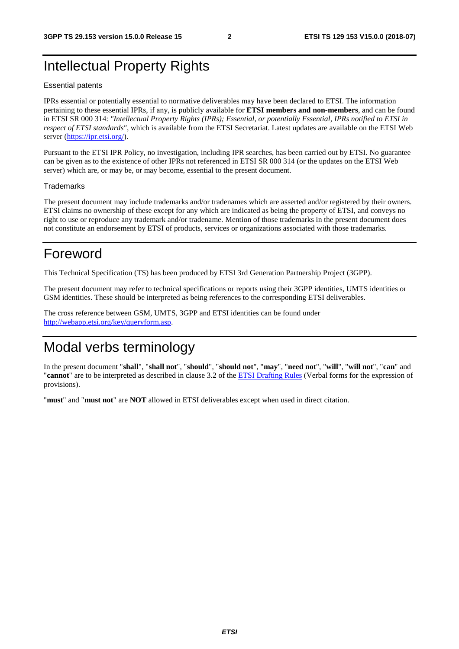### Intellectual Property Rights

#### Essential patents

IPRs essential or potentially essential to normative deliverables may have been declared to ETSI. The information pertaining to these essential IPRs, if any, is publicly available for **ETSI members and non-members**, and can be found in ETSI SR 000 314: *"Intellectual Property Rights (IPRs); Essential, or potentially Essential, IPRs notified to ETSI in respect of ETSI standards"*, which is available from the ETSI Secretariat. Latest updates are available on the ETSI Web server ([https://ipr.etsi.org/\)](https://ipr.etsi.org/).

Pursuant to the ETSI IPR Policy, no investigation, including IPR searches, has been carried out by ETSI. No guarantee can be given as to the existence of other IPRs not referenced in ETSI SR 000 314 (or the updates on the ETSI Web server) which are, or may be, or may become, essential to the present document.

#### **Trademarks**

The present document may include trademarks and/or tradenames which are asserted and/or registered by their owners. ETSI claims no ownership of these except for any which are indicated as being the property of ETSI, and conveys no right to use or reproduce any trademark and/or tradename. Mention of those trademarks in the present document does not constitute an endorsement by ETSI of products, services or organizations associated with those trademarks.

### Foreword

This Technical Specification (TS) has been produced by ETSI 3rd Generation Partnership Project (3GPP).

The present document may refer to technical specifications or reports using their 3GPP identities, UMTS identities or GSM identities. These should be interpreted as being references to the corresponding ETSI deliverables.

The cross reference between GSM, UMTS, 3GPP and ETSI identities can be found under [http://webapp.etsi.org/key/queryform.asp.](http://webapp.etsi.org/key/queryform.asp)

### Modal verbs terminology

In the present document "**shall**", "**shall not**", "**should**", "**should not**", "**may**", "**need not**", "**will**", "**will not**", "**can**" and "**cannot**" are to be interpreted as described in clause 3.2 of the [ETSI Drafting Rules](https://portal.etsi.org/Services/editHelp!/Howtostart/ETSIDraftingRules.aspx) (Verbal forms for the expression of provisions).

"**must**" and "**must not**" are **NOT** allowed in ETSI deliverables except when used in direct citation.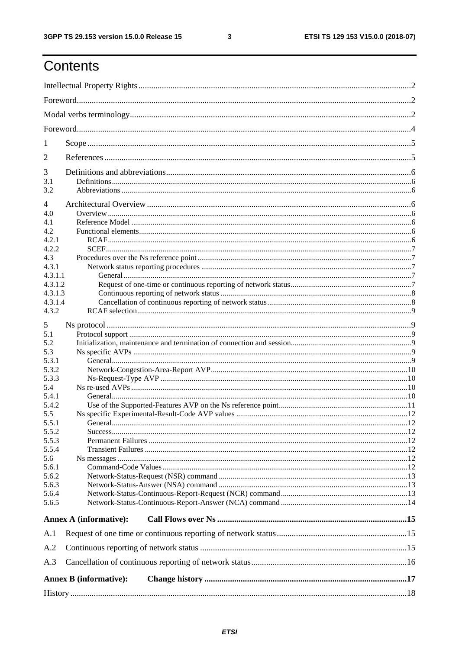ETSI TS 129 153 V15.0.0 (2018-07)

# Contents

| 1              |                               |  |  |  |  |  |  |  |  |
|----------------|-------------------------------|--|--|--|--|--|--|--|--|
| 2              |                               |  |  |  |  |  |  |  |  |
| 3              |                               |  |  |  |  |  |  |  |  |
| 3.1            |                               |  |  |  |  |  |  |  |  |
| 3.2            |                               |  |  |  |  |  |  |  |  |
| $\overline{4}$ |                               |  |  |  |  |  |  |  |  |
| 4.0            |                               |  |  |  |  |  |  |  |  |
| 4.1<br>4.2     |                               |  |  |  |  |  |  |  |  |
|                |                               |  |  |  |  |  |  |  |  |
| 4.2.1          |                               |  |  |  |  |  |  |  |  |
| 4.2.2          |                               |  |  |  |  |  |  |  |  |
| 4.3            |                               |  |  |  |  |  |  |  |  |
| 4.3.1          |                               |  |  |  |  |  |  |  |  |
| 4.3.1.1        |                               |  |  |  |  |  |  |  |  |
| 4.3.1.2        |                               |  |  |  |  |  |  |  |  |
| 4.3.1.3        |                               |  |  |  |  |  |  |  |  |
| 4.3.1.4        |                               |  |  |  |  |  |  |  |  |
| 4.3.2          |                               |  |  |  |  |  |  |  |  |
| 5              |                               |  |  |  |  |  |  |  |  |
| 5.1            |                               |  |  |  |  |  |  |  |  |
| 5.2            |                               |  |  |  |  |  |  |  |  |
| 5.3            |                               |  |  |  |  |  |  |  |  |
| 5.3.1          |                               |  |  |  |  |  |  |  |  |
|                |                               |  |  |  |  |  |  |  |  |
| 5.3.2          |                               |  |  |  |  |  |  |  |  |
| 5.3.3          |                               |  |  |  |  |  |  |  |  |
| 5.4            |                               |  |  |  |  |  |  |  |  |
| 5.4.1          |                               |  |  |  |  |  |  |  |  |
| 5.4.2          |                               |  |  |  |  |  |  |  |  |
| 5.5            |                               |  |  |  |  |  |  |  |  |
| 5.5.1          |                               |  |  |  |  |  |  |  |  |
| 5.5.2          |                               |  |  |  |  |  |  |  |  |
| 5.5.3          |                               |  |  |  |  |  |  |  |  |
| 5.5.4          |                               |  |  |  |  |  |  |  |  |
| 5.6            |                               |  |  |  |  |  |  |  |  |
| 5.6.1          |                               |  |  |  |  |  |  |  |  |
| 5.6.2          |                               |  |  |  |  |  |  |  |  |
| 5.6.3          |                               |  |  |  |  |  |  |  |  |
| 5.6.4          |                               |  |  |  |  |  |  |  |  |
| 5.6.5          |                               |  |  |  |  |  |  |  |  |
|                | <b>Annex A (informative):</b> |  |  |  |  |  |  |  |  |
| A.1            |                               |  |  |  |  |  |  |  |  |
| A.2            |                               |  |  |  |  |  |  |  |  |
|                |                               |  |  |  |  |  |  |  |  |
| A.3            |                               |  |  |  |  |  |  |  |  |
|                | <b>Annex B</b> (informative): |  |  |  |  |  |  |  |  |
|                |                               |  |  |  |  |  |  |  |  |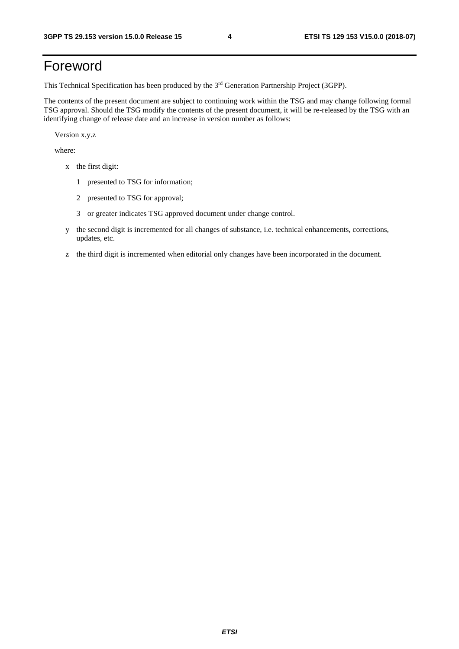# Foreword

This Technical Specification has been produced by the 3rd Generation Partnership Project (3GPP).

The contents of the present document are subject to continuing work within the TSG and may change following formal TSG approval. Should the TSG modify the contents of the present document, it will be re-released by the TSG with an identifying change of release date and an increase in version number as follows:

Version x.y.z

where:

- x the first digit:
	- 1 presented to TSG for information;
	- 2 presented to TSG for approval;
	- 3 or greater indicates TSG approved document under change control.
- y the second digit is incremented for all changes of substance, i.e. technical enhancements, corrections, updates, etc.
- z the third digit is incremented when editorial only changes have been incorporated in the document.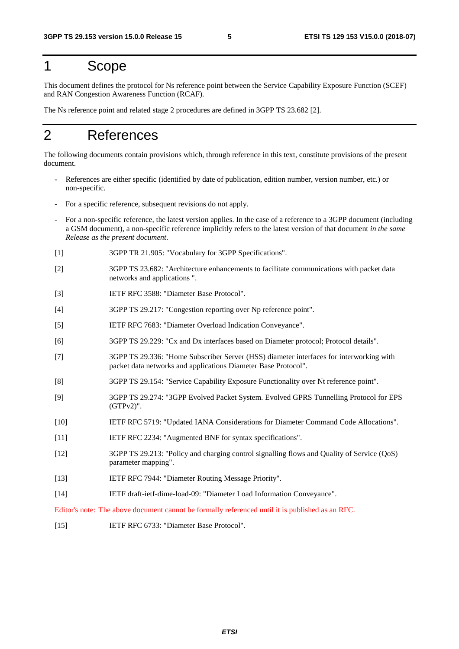### 1 Scope

This document defines the protocol for Ns reference point between the Service Capability Exposure Function (SCEF) and RAN Congestion Awareness Function (RCAF).

The Ns reference point and related stage 2 procedures are defined in 3GPP TS 23.682 [2].

### 2 References

The following documents contain provisions which, through reference in this text, constitute provisions of the present document.

- References are either specific (identified by date of publication, edition number, version number, etc.) or non-specific.
- For a specific reference, subsequent revisions do not apply.
- For a non-specific reference, the latest version applies. In the case of a reference to a 3GPP document (including a GSM document), a non-specific reference implicitly refers to the latest version of that document *in the same Release as the present document*.
- [1] 3GPP TR 21.905: "Vocabulary for 3GPP Specifications".
- [2] 3GPP TS 23.682: "Architecture enhancements to facilitate communications with packet data networks and applications ".
- [3] IETF RFC 3588: "Diameter Base Protocol".
- [4] 3GPP TS 29.217: "Congestion reporting over Np reference point".
- [5] IETF RFC 7683: "Diameter Overload Indication Conveyance".
- [6] 3GPP TS 29.229: "Cx and Dx interfaces based on Diameter protocol; Protocol details".
- [7] 3GPP TS 29.336: "Home Subscriber Server (HSS) diameter interfaces for interworking with packet data networks and applications Diameter Base Protocol".
- [8] 3GPP TS 29.154: "Service Capability Exposure Functionality over Nt reference point".
- [9] 3GPP TS 29.274: "3GPP Evolved Packet System. Evolved GPRS Tunnelling Protocol for EPS (GTPv2)".
- [10] IETF RFC 5719: "Updated IANA Considerations for Diameter Command Code Allocations".
- [11] IETF RFC 2234: "Augmented BNF for syntax specifications".
- [12] 3GPP TS 29.213: "Policy and charging control signalling flows and Quality of Service (QoS) parameter mapping".
- [13] IETF RFC 7944: "Diameter Routing Message Priority".
- [14] IETF draft-ietf-dime-load-09: "Diameter Load Information Conveyance".

Editor's note: The above document cannot be formally referenced until it is published as an RFC.

[15] IETF RFC 6733: "Diameter Base Protocol".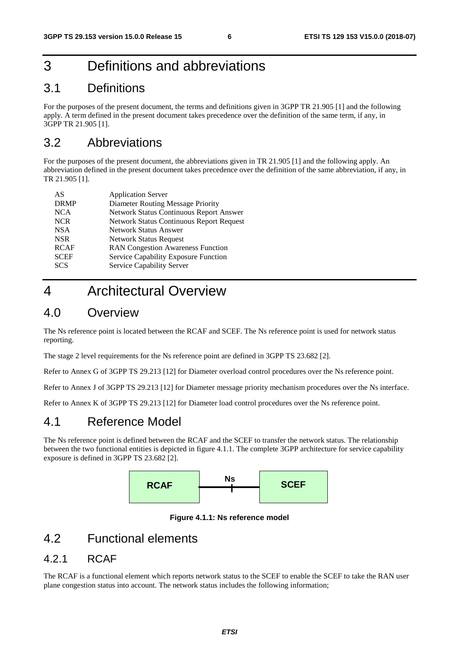# 3 Definitions and abbreviations

### 3.1 Definitions

For the purposes of the present document, the terms and definitions given in 3GPP TR 21.905 [1] and the following apply. A term defined in the present document takes precedence over the definition of the same term, if any, in 3GPP TR 21.905 [1].

### 3.2 Abbreviations

For the purposes of the present document, the abbreviations given in TR 21.905 [1] and the following apply. An abbreviation defined in the present document takes precedence over the definition of the same abbreviation, if any, in TR 21.905 [1].

| AS          | <b>Application Server</b>                       |
|-------------|-------------------------------------------------|
| <b>DRMP</b> | <b>Diameter Routing Message Priority</b>        |
| <b>NCA</b>  | Network Status Continuous Report Answer         |
| <b>NCR</b>  | <b>Network Status Continuous Report Request</b> |
| <b>NSA</b>  | <b>Network Status Answer</b>                    |
| <b>NSR</b>  | <b>Network Status Request</b>                   |
| <b>RCAF</b> | <b>RAN Congestion Awareness Function</b>        |
| <b>SCEF</b> | Service Capability Exposure Function            |
| <b>SCS</b>  | Service Capability Server                       |
|             |                                                 |

### 4 Architectural Overview

### 4.0 Overview

The Ns reference point is located between the RCAF and SCEF. The Ns reference point is used for network status reporting.

The stage 2 level requirements for the Ns reference point are defined in 3GPP TS 23.682 [2].

Refer to Annex G of 3GPP TS 29.213 [12] for Diameter overload control procedures over the Ns reference point.

Refer to Annex J of 3GPP TS 29.213 [12] for Diameter message priority mechanism procedures over the Ns interface.

Refer to Annex K of 3GPP TS 29.213 [12] for Diameter load control procedures over the Ns reference point.

### 4.1 Reference Model

The Ns reference point is defined between the RCAF and the SCEF to transfer the network status. The relationship between the two functional entities is depicted in figure 4.1.1. The complete 3GPP architecture for service capability exposure is defined in 3GPP TS 23.682 [2].



**Figure 4.1.1: Ns reference model** 

### 4.2 Functional elements

#### 4.2.1 RCAF

The RCAF is a functional element which reports network status to the SCEF to enable the SCEF to take the RAN user plane congestion status into account. The network status includes the following information;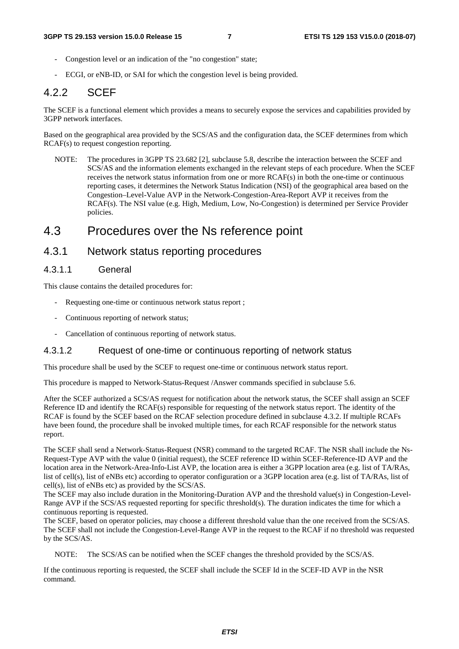- Congestion level or an indication of the "no congestion" state;
- ECGI, or eNB-ID, or SAI for which the congestion level is being provided.

### 4.2.2 SCEF

The SCEF is a functional element which provides a means to securely expose the services and capabilities provided by 3GPP network interfaces.

Based on the geographical area provided by the SCS/AS and the configuration data, the SCEF determines from which RCAF(s) to request congestion reporting.

NOTE: The procedures in 3GPP TS 23.682 [2], subclause 5.8, describe the interaction between the SCEF and SCS/AS and the information elements exchanged in the relevant steps of each procedure. When the SCEF receives the network status information from one or more RCAF(s) in both the one-time or continuous reporting cases, it determines the Network Status Indication (NSI) of the geographical area based on the Congestion–Level-Value AVP in the Network-Congestion-Area-Report AVP it receives from the RCAF(s). The NSI value (e.g. High, Medium, Low, No-Congestion) is determined per Service Provider policies.

### 4.3 Procedures over the Ns reference point

#### 4.3.1 Network status reporting procedures

#### 4.3.1.1 General

This clause contains the detailed procedures for:

- Requesting one-time or continuous network status report ;
- Continuous reporting of network status;
- Cancellation of continuous reporting of network status.

#### 4.3.1.2 Request of one-time or continuous reporting of network status

This procedure shall be used by the SCEF to request one-time or continuous network status report.

This procedure is mapped to Network-Status-Request /Answer commands specified in subclause 5.6.

After the SCEF authorized a SCS/AS request for notification about the network status, the SCEF shall assign an SCEF Reference ID and identify the RCAF(s) responsible for requesting of the network status report. The identity of the RCAF is found by the SCEF based on the RCAF selection procedure defined in subclause 4.3.2. If multiple RCAFs have been found, the procedure shall be invoked multiple times, for each RCAF responsible for the network status report.

The SCEF shall send a Network-Status-Request (NSR) command to the targeted RCAF. The NSR shall include the Ns-Request-Type AVP with the value 0 (initial request), the SCEF reference ID within SCEF-Reference-ID AVP and the location area in the Network-Area-Info-List AVP, the location area is either a 3GPP location area (e.g. list of TA/RAs, list of cell(s), list of eNBs etc) according to operator configuration or a 3GPP location area (e.g. list of TA/RAs, list of cell(s), list of eNBs etc) as provided by the SCS/AS.

The SCEF may also include duration in the Monitoring-Duration AVP and the threshold value(s) in Congestion-Level-Range AVP if the SCS/AS requested reporting for specific threshold(s). The duration indicates the time for which a continuous reporting is requested.

The SCEF, based on operator policies, may choose a different threshold value than the one received from the SCS/AS. The SCEF shall not include the Congestion-Level-Range AVP in the request to the RCAF if no threshold was requested by the SCS/AS.

NOTE: The SCS/AS can be notified when the SCEF changes the threshold provided by the SCS/AS.

If the continuous reporting is requested, the SCEF shall include the SCEF Id in the SCEF-ID AVP in the NSR command.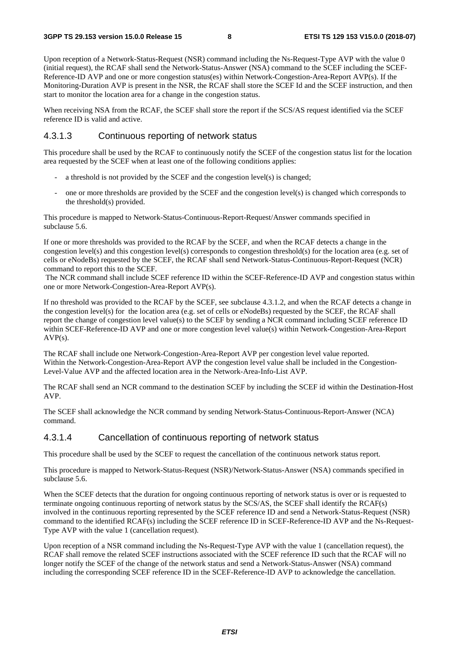Upon reception of a Network-Status-Request (NSR) command including the Ns-Request-Type AVP with the value 0 (initial request), the RCAF shall send the Network-Status-Answer (NSA) command to the SCEF including the SCEF-Reference-ID AVP and one or more congestion status(es) within Network-Congestion-Area-Report AVP(s). If the Monitoring-Duration AVP is present in the NSR, the RCAF shall store the SCEF Id and the SCEF instruction, and then start to monitor the location area for a change in the congestion status.

When receiving NSA from the RCAF, the SCEF shall store the report if the SCS/AS request identified via the SCEF reference ID is valid and active.

#### 4.3.1.3 Continuous reporting of network status

This procedure shall be used by the RCAF to continuously notify the SCEF of the congestion status list for the location area requested by the SCEF when at least one of the following conditions applies:

- a threshold is not provided by the SCEF and the congestion level(s) is changed;
- one or more thresholds are provided by the SCEF and the congestion level(s) is changed which corresponds to the threshold(s) provided.

This procedure is mapped to Network-Status-Continuous-Report-Request/Answer commands specified in subclause 5.6.

If one or more thresholds was provided to the RCAF by the SCEF, and when the RCAF detects a change in the congestion level(s) and this congestion level(s) corresponds to congestion threshold(s) for the location area (e.g. set of cells or eNodeBs) requested by the SCEF, the RCAF shall send Network-Status-Continuous-Report-Request (NCR) command to report this to the SCEF.

 The NCR command shall include SCEF reference ID within the SCEF-Reference-ID AVP and congestion status within one or more Network-Congestion-Area-Report AVP(s).

If no threshold was provided to the RCAF by the SCEF, see subclause 4.3.1.2, and when the RCAF detects a change in the congestion level(s) for the location area (e.g. set of cells or eNodeBs) requested by the SCEF, the RCAF shall report the change of congestion level value(s) to the SCEF by sending a NCR command including SCEF reference ID within SCEF-Reference-ID AVP and one or more congestion level value(s) within Network-Congestion-Area-Report  $AVP(s)$ .

The RCAF shall include one Network-Congestion-Area-Report AVP per congestion level value reported. Within the Network-Congestion-Area-Report AVP the congestion level value shall be included in the Congestion-Level-Value AVP and the affected location area in the Network-Area-Info-List AVP.

The RCAF shall send an NCR command to the destination SCEF by including the SCEF id within the Destination-Host AVP.

The SCEF shall acknowledge the NCR command by sending Network-Status-Continuous-Report-Answer (NCA) command.

#### 4.3.1.4 Cancellation of continuous reporting of network status

This procedure shall be used by the SCEF to request the cancellation of the continuous network status report.

This procedure is mapped to Network-Status-Request (NSR)/Network-Status-Answer (NSA) commands specified in subclause 5.6.

When the SCEF detects that the duration for ongoing continuous reporting of network status is over or is requested to terminate ongoing continuous reporting of network status by the SCS/AS, the SCEF shall identify the RCAF(s) involved in the continuous reporting represented by the SCEF reference ID and send a Network-Status-Request (NSR) command to the identified RCAF(s) including the SCEF reference ID in SCEF-Reference-ID AVP and the Ns-Request-Type AVP with the value 1 (cancellation request).

Upon reception of a NSR command including the Ns-Request-Type AVP with the value 1 (cancellation request), the RCAF shall remove the related SCEF instructions associated with the SCEF reference ID such that the RCAF will no longer notify the SCEF of the change of the network status and send a Network-Status-Answer (NSA) command including the corresponding SCEF reference ID in the SCEF-Reference-ID AVP to acknowledge the cancellation.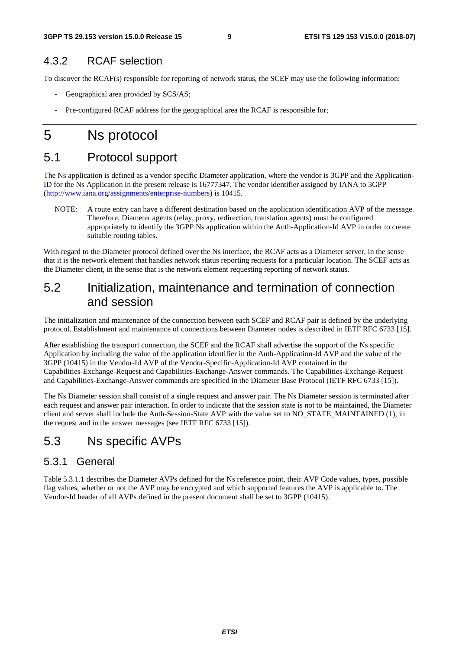### 4.3.2 RCAF selection

To discover the RCAF(s) responsible for reporting of network status, the SCEF may use the following information:

- Geographical area provided by SCS/AS;
- Pre-configured RCAF address for the geographical area the RCAF is responsible for;

# 5 Ns protocol

### 5.1 Protocol support

The Ns application is defined as a vendor specific Diameter application, where the vendor is 3GPP and the Application-ID for the Ns Application in the present release is 16777347. The vendor identifier assigned by IANA to 3GPP ([http://www.iana.org/assignments/enterprise-numbers\)](http://www.iana.org/assignments/enterprise-numbers) is 10415.

NOTE: A route entry can have a different destination based on the application identification AVP of the message. Therefore, Diameter agents (relay, proxy, redirection, translation agents) must be configured appropriately to identify the 3GPP Ns application within the Auth-Application-Id AVP in order to create suitable routing tables.

With regard to the Diameter protocol defined over the Ns interface, the RCAF acts as a Diameter server, in the sense that it is the network element that handles network status reporting requests for a particular location. The SCEF acts as the Diameter client, in the sense that is the network element requesting reporting of network status.

### 5.2 Initialization, maintenance and termination of connection and session

The initialization and maintenance of the connection between each SCEF and RCAF pair is defined by the underlying protocol. Establishment and maintenance of connections between Diameter nodes is described in IETF RFC 6733 [15].

After establishing the transport connection, the SCEF and the RCAF shall advertise the support of the Ns specific Application by including the value of the application identifier in the Auth-Application-Id AVP and the value of the 3GPP (10415) in the Vendor-Id AVP of the Vendor-Specific-Application-Id AVP contained in the Capabilities-Exchange-Request and Capabilities-Exchange-Answer commands. The Capabilities-Exchange-Request and Capabilities-Exchange-Answer commands are specified in the Diameter Base Protocol (IETF RFC 6733 [15]).

The Ns Diameter session shall consist of a single request and answer pair. The Ns Diameter session is terminated after each request and answer pair interaction. In order to indicate that the session state is not to be maintained, the Diameter client and server shall include the Auth-Session-State AVP with the value set to NO\_STATE\_MAINTAINED (1), in the request and in the answer messages (see IETF RFC 6733 [15]).

### 5.3 Ns specific AVPs

#### 5.3.1 General

Table 5.3.1.1 describes the Diameter AVPs defined for the Ns reference point, their AVP Code values, types, possible flag values, whether or not the AVP may be encrypted and which supported features the AVP is applicable to. The Vendor-Id header of all AVPs defined in the present document shall be set to 3GPP (10415).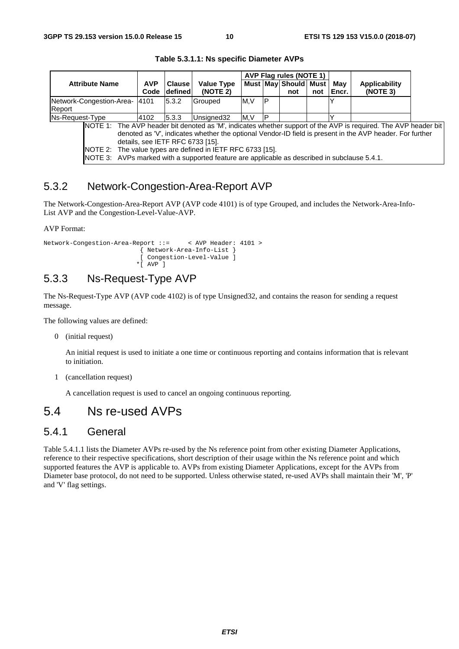|                                                                                                                 |            |               |                   |     |   | AVP Flag rules (NOTE 1) |     |       |               |  |
|-----------------------------------------------------------------------------------------------------------------|------------|---------------|-------------------|-----|---|-------------------------|-----|-------|---------------|--|
| <b>Attribute Name</b>                                                                                           | <b>AVP</b> | <b>Clause</b> | <b>Value Type</b> |     |   | Must May Should Must    |     | Mav   | Applicability |  |
|                                                                                                                 | Code       | defined       | (NOTE 2)          |     |   | not                     | not | Encr. | (NOTE 3)      |  |
| Network-Congestion-Area-                                                                                        | 4101       | 5.3.2         | <b>Grouped</b>    | M.V | P |                         |     |       |               |  |
| Report                                                                                                          |            |               |                   |     |   |                         |     |       |               |  |
| Ns-Request-Type<br>5.3.3<br>4102                                                                                |            |               | Unsigned32        | M.V |   |                         |     |       |               |  |
| NOTE 1: The AVP header bit denoted as 'M', indicates whether support of the AVP is required. The AVP header bit |            |               |                   |     |   |                         |     |       |               |  |
| denoted as 'V', indicates whether the optional Vendor-ID field is present in the AVP header. For further        |            |               |                   |     |   |                         |     |       |               |  |
| details, see IETF RFC 6733 [15].                                                                                |            |               |                   |     |   |                         |     |       |               |  |
| NOTE 2: The value types are defined in IETF RFC 6733 [15].                                                      |            |               |                   |     |   |                         |     |       |               |  |
| NOTE 3: AVPs marked with a supported feature are applicable as described in subclause 5.4.1.                    |            |               |                   |     |   |                         |     |       |               |  |

**Table 5.3.1.1: Ns specific Diameter AVPs** 

### 5.3.2 Network-Congestion-Area-Report AVP

The Network-Congestion-Area-Report AVP (AVP code 4101) is of type Grouped, and includes the Network-Area-Info-List AVP and the Congestion-Level-Value-AVP.

AVP Format:

```
Network-Congestion-Area-Report ::= < AVP Header: 4101 > 
                           { Network-Area-Info-List } 
                           [ Congestion-Level-Value ] 
                          *[ AVP ]
```
### 5.3.3 Ns-Request-Type AVP

The Ns-Request-Type AVP (AVP code 4102) is of type Unsigned32, and contains the reason for sending a request message.

The following values are defined:

0 (initial request)

 An initial request is used to initiate a one time or continuous reporting and contains information that is relevant to initiation.

1 (cancellation request)

A cancellation request is used to cancel an ongoing continuous reporting.

### 5.4 Ns re-used AVPs

#### 5.4.1 General

Table 5.4.1.1 lists the Diameter AVPs re-used by the Ns reference point from other existing Diameter Applications, reference to their respective specifications, short description of their usage within the Ns reference point and which supported features the AVP is applicable to. AVPs from existing Diameter Applications, except for the AVPs from Diameter base protocol, do not need to be supported. Unless otherwise stated, re-used AVPs shall maintain their 'M', 'P' and 'V' flag settings.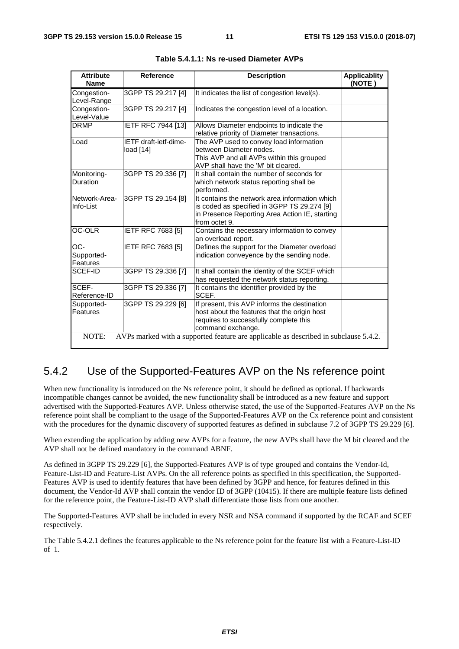| <b>Attribute</b><br><b>Name</b>                                                               | <b>Reference</b>                  | <b>Description</b>                                                                                                                                               | <b>Applicablity</b><br>(NOTE) |  |  |  |  |
|-----------------------------------------------------------------------------------------------|-----------------------------------|------------------------------------------------------------------------------------------------------------------------------------------------------------------|-------------------------------|--|--|--|--|
| Congestion-<br>Level-Range                                                                    | 3GPP TS 29.217 [4]                | It indicates the list of congestion level(s).                                                                                                                    |                               |  |  |  |  |
| Congestion-<br>Level-Value                                                                    | 3GPP TS 29.217 [4]                | Indicates the congestion level of a location.                                                                                                                    |                               |  |  |  |  |
| <b>DRMP</b>                                                                                   | IETF RFC 7944 [13]                | Allows Diameter endpoints to indicate the<br>relative priority of Diameter transactions.                                                                         |                               |  |  |  |  |
| Load                                                                                          | IETF draft-ietf-dime-<br>load[14] | The AVP used to convey load information<br>between Diameter nodes.<br>This AVP and all AVPs within this grouped<br>AVP shall have the 'M' bit cleared.           |                               |  |  |  |  |
| Monitoring-<br>Duration                                                                       | 3GPP TS 29.336 [7]                | It shall contain the number of seconds for<br>which network status reporting shall be<br>performed.                                                              |                               |  |  |  |  |
| Network-Area-<br>Info-List                                                                    | 3GPP TS 29.154 [8]                | It contains the network area information which<br>is coded as specified in 3GPP TS 29.274 [9]<br>in Presence Reporting Area Action IE, starting<br>from octet 9. |                               |  |  |  |  |
| <b>OC-OLR</b>                                                                                 | <b>IETF RFC 7683 [5]</b>          | Contains the necessary information to convey<br>an overload report.                                                                                              |                               |  |  |  |  |
| -OO<br>Supported-<br>Features                                                                 | <b>IETF RFC 7683 [5]</b>          | Defines the support for the Diameter overload<br>indication conveyence by the sending node.                                                                      |                               |  |  |  |  |
| SCEF-ID                                                                                       | 3GPP TS 29.336 [7]                | It shall contain the identity of the SCEF which<br>has requested the network status reporting.                                                                   |                               |  |  |  |  |
| SCEF-<br>Reference-ID                                                                         | 3GPP TS 29.336 [7]                | It contains the identifier provided by the<br>SCEF.                                                                                                              |                               |  |  |  |  |
| Supported-<br><b>Features</b>                                                                 | 3GPP TS 29.229 [6]                | If present, this AVP informs the destination<br>host about the features that the origin host<br>requires to successfully complete this<br>command exchange.      |                               |  |  |  |  |
| NOTE:<br>AVPs marked with a supported feature are applicable as described in subclause 5.4.2. |                                   |                                                                                                                                                                  |                               |  |  |  |  |

### 5.4.2 Use of the Supported-Features AVP on the Ns reference point

When new functionality is introduced on the Ns reference point, it should be defined as optional. If backwards incompatible changes cannot be avoided, the new functionality shall be introduced as a new feature and support advertised with the Supported-Features AVP. Unless otherwise stated, the use of the Supported-Features AVP on the Ns reference point shall be compliant to the usage of the Supported-Features AVP on the Cx reference point and consistent with the procedures for the dynamic discovery of supported features as defined in subclause 7.2 of 3GPP TS 29.229 [6].

When extending the application by adding new AVPs for a feature, the new AVPs shall have the M bit cleared and the AVP shall not be defined mandatory in the command ABNF.

As defined in 3GPP TS 29.229 [6], the Supported-Features AVP is of type grouped and contains the Vendor-Id, Feature-List-ID and Feature-List AVPs. On the all reference points as specified in this specification, the Supported-Features AVP is used to identify features that have been defined by 3GPP and hence, for features defined in this document, the Vendor-Id AVP shall contain the vendor ID of 3GPP (10415). If there are multiple feature lists defined for the reference point, the Feature-List-ID AVP shall differentiate those lists from one another.

The Supported-Features AVP shall be included in every NSR and NSA command if supported by the RCAF and SCEF respectively.

The Table 5.4.2.1 defines the features applicable to the Ns reference point for the feature list with a Feature-List-ID of 1.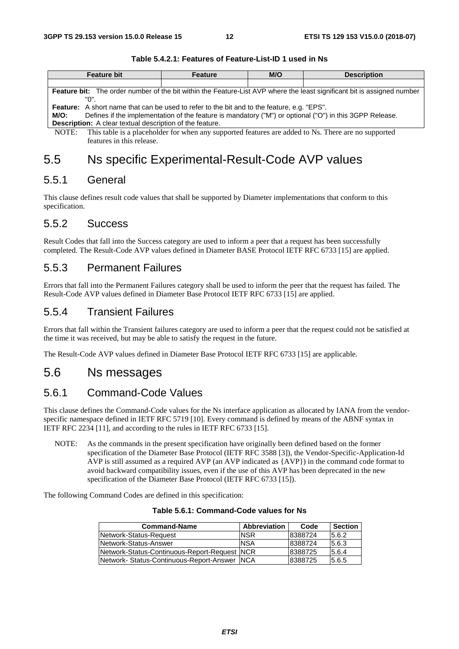| <b>Feature bit</b>                                                                                                      | <b>Feature</b> | M/O | <b>Description</b> |  |  |  |  |  |  |
|-------------------------------------------------------------------------------------------------------------------------|----------------|-----|--------------------|--|--|--|--|--|--|
|                                                                                                                         |                |     |                    |  |  |  |  |  |  |
| Feature bit: The order number of the bit within the Feature-List AVP where the least significant bit is assigned number |                |     |                    |  |  |  |  |  |  |
| "በ"                                                                                                                     |                |     |                    |  |  |  |  |  |  |
| <b>Feature:</b> A short name that can be used to refer to the bit and to the feature, e.g. "EPS".                       |                |     |                    |  |  |  |  |  |  |
| Defines if the implementation of the feature is mandatory ("M") or optional ("O") in this 3GPP Release.<br>M/O:         |                |     |                    |  |  |  |  |  |  |
| <b>Description:</b> A clear textual description of the feature.                                                         |                |     |                    |  |  |  |  |  |  |
| NOTE: This table is a placeholder for when any supported features are added to Ns. There are no supported               |                |     |                    |  |  |  |  |  |  |

#### **Table 5.4.2.1: Features of Feature-List-ID 1 used in Ns**

er for when any supported features are added to Ns. There are no supported features in this release.

### 5.5 Ns specific Experimental-Result-Code AVP values

#### 5.5.1 General

This clause defines result code values that shall be supported by Diameter implementations that conform to this specification.

#### 5.5.2 Success

Result Codes that fall into the Success category are used to inform a peer that a request has been successfully completed. The Result-Code AVP values defined in Diameter BASE Protocol IETF RFC 6733 [15] are applied.

#### 5.5.3 Permanent Failures

Errors that fall into the Permanent Failures category shall be used to inform the peer that the request has failed. The Result-Code AVP values defined in Diameter Base Protocol IETF RFC 6733 [15] are applied.

#### 5.5.4 Transient Failures

Errors that fall within the Transient failures category are used to inform a peer that the request could not be satisfied at the time it was received, but may be able to satisfy the request in the future.

The Result-Code AVP values defined in Diameter Base Protocol IETF RFC 6733 [15] are applicable.

### 5.6 Ns messages

#### 5.6.1 Command-Code Values

This clause defines the Command-Code values for the Ns interface application as allocated by IANA from the vendorspecific namespace defined in IETF RFC 5719 [10]. Every command is defined by means of the ABNF syntax in IETF RFC 2234 [11], and according to the rules in IETF RFC 6733 [15].

NOTE: As the commands in the present specification have originally been defined based on the former specification of the Diameter Base Protocol (IETF RFC 3588 [3]), the Vendor-Specific-Application-Id AVP is still assumed as a required AVP (an AVP indicated as {AVP}) in the command code format to avoid backward compatibility issues, even if the use of this AVP has been deprecated in the new specification of the Diameter Base Protocol (IETF RFC 6733 [15]).

The following Command Codes are defined in this specification:

| <b>Command-Name</b>                           | Abbreviation | Code    | <b>Section</b> |
|-----------------------------------------------|--------------|---------|----------------|
| Network-Status-Request                        | <b>NSR</b>   | 8388724 | 15.6.2         |
| Network-Status-Answer                         | <b>NSA</b>   | 8388724 | 5.6.3          |
| Network-Status-Continuous-Report-Request INCR |              | 8388725 | 5.6.4          |
| Network-Status-Continuous-Report-Answer NCA   |              | 8388725 | 5.6.5          |

#### **Table 5.6.1: Command-Code values for Ns**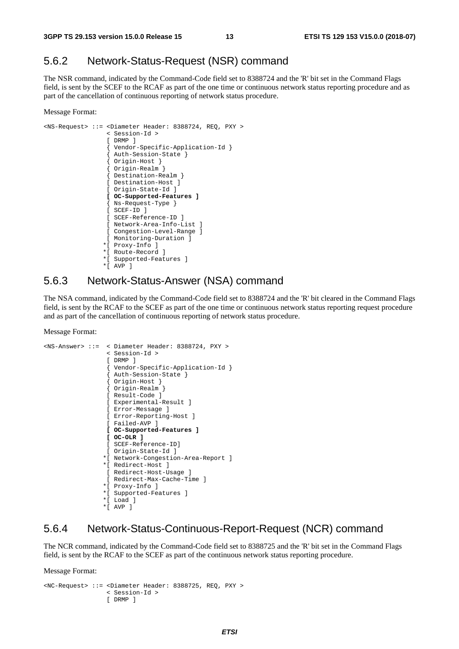### 5.6.2 Network-Status-Request (NSR) command

The NSR command, indicated by the Command-Code field set to 8388724 and the 'R' bit set in the Command Flags field, is sent by the SCEF to the RCAF as part of the one time or continuous network status reporting procedure and as part of the cancellation of continuous reporting of network status procedure.

Message Format:

```
<NS-Request> ::= <Diameter Header: 8388724, REQ, PXY > 
                   < Session-Id > 
                   [ DRMP ] 
                    { Vendor-Specific-Application-Id } 
                   { Auth-Session-State } 
                   { Origin-Host } 
                   { Origin-Realm } 
                   { Destination-Realm } 
                   [ Destination-Host ] 
                  [ Origin-State-Id ]
                   [ OC-Supported-Features ] 
                   { Ns-Request-Type } 
                  \overline{ } SCEF-ID 1
                   [ SCEF-Reference-ID ] 
                   [ Network-Area-Info-List ] 
                   [ Congestion-Level-Range ] 
                   [ Monitoring-Duration ] 
                  *[ Proxy-Info ] 
                  *[ Route-Record ] 
                  *[ Supported-Features ] 
                  *[ AVP ]
```
#### 5.6.3 Network-Status-Answer (NSA) command

The NSA command, indicated by the Command-Code field set to 8388724 and the 'R' bit cleared in the Command Flags field, is sent by the RCAF to the SCEF as part of the one time or continuous network status reporting request procedure and as part of the cancellation of continuous reporting of network status procedure.

Message Format:

```
<NS-Answer> ::= < Diameter Header: 8388724, PXY > 
                 < Session-Id > 
                 [ DRMP ] 
                  { Vendor-Specific-Application-Id } 
                  { Auth-Session-State } 
{ Origin-Host } 
{ Origin-Realm } 
                 [ Result-Code ] 
                 [ Experimental-Result ] 
                 [ Error-Message ] 
                 [ Error-Reporting-Host ] 
                 [ Failed-AVP ] 
                 [ OC-Supported-Features ] 
                 [ OC-OLR ]
                 [ SCEF-Reference-ID] 
                 [ Origin-State-Id ] 
                *[ Network-Congestion-Area-Report ] 
                *[ Redirect-Host ] 
                 [ Redirect-Host-Usage ] 
                 [ Redirect-Max-Cache-Time ] 
                *[ Proxy-Info ] 
                *[ Supported-Features ] 
                *[ Load ] 
                *[ AVP ]
```
#### 5.6.4 Network-Status-Continuous-Report-Request (NCR) command

The NCR command, indicated by the Command-Code field set to 8388725 and the 'R' bit set in the Command Flags field, is sent by the RCAF to the SCEF as part of the continuous network status reporting procedure.

Message Format:

```
<NC-Request> ::= <Diameter Header: 8388725, REQ, PXY > 
                  < Session-Id > 
                  [ DRMP ]
```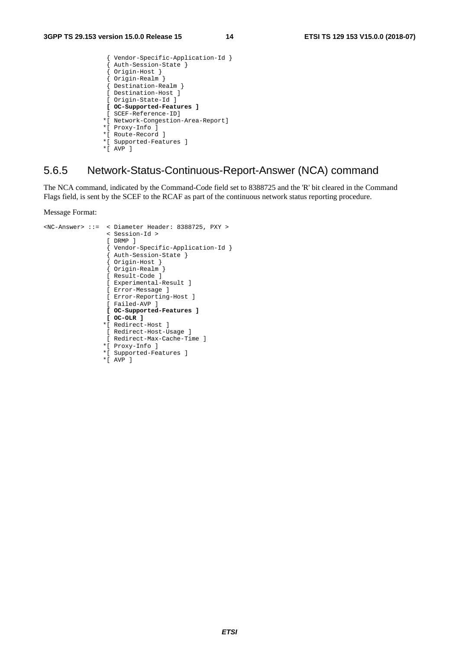```
 { Vendor-Specific-Application-Id } 
                 Auth-Session-State }
                { Origin-Host } 
{ Origin-Realm } 
{ Destination-Realm } 
                [ Destination-Host ] 
                [ Origin-State-Id ] 
                [ OC-Supported-Features ]
                [ SCEF-Reference-ID] 
               *[ Network-Congestion-Area-Report] 
               *[ Proxy-Info ] 
               *[ Route-Record ] 
               *[ Supported-Features ] 
               *[ AVP ]
```
### 5.6.5 Network-Status-Continuous-Report-Answer (NCA) command

The NCA command, indicated by the Command-Code field set to 8388725 and the 'R' bit cleared in the Command Flags field, is sent by the SCEF to the RCAF as part of the continuous network status reporting procedure.

Message Format:

```
<NC-Answer> ::= < Diameter Header: 8388725, PXY > 
                  < Session-Id > 
                  [ DRMP ] 
                   { Vendor-Specific-Application-Id } 
                  Auth-Session-State }
                   { Origin-Host } 
                   { Origin-Realm } 
                  [ Result-Code ] 
                  [ Experimental-Result ] 
                  [ Error-Message ] 
                  [ Error-Reporting-Host ] 
                  [ Failed-AVP ] 
                  [ OC-Supported-Features ] 
                  [ OC-OLR ]
                 *[ Redirect-Host ] 
                  [ Redirect-Host-Usage ] 
                  [ Redirect-Max-Cache-Time ] 
                 *[ Proxy-Info ] 
                 *[ Supported-Features ] 
                 *[ AVP ]
```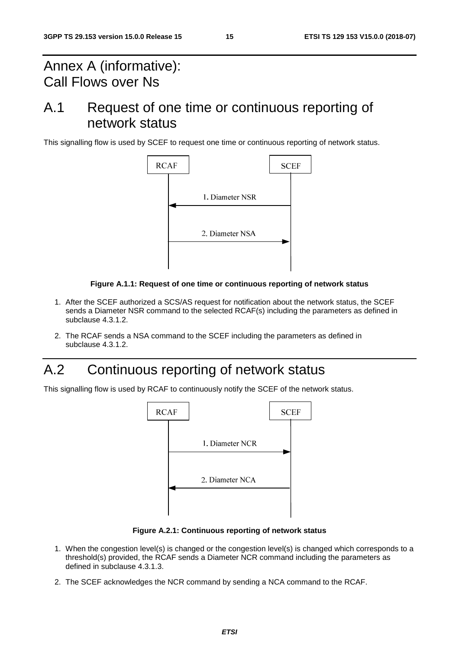# Annex A (informative): Call Flows over Ns

# A.1 Request of one time or continuous reporting of network status

This signalling flow is used by SCEF to request one time or continuous reporting of network status.



#### **Figure A.1.1: Request of one time or continuous reporting of network status**

- 1. After the SCEF authorized a SCS/AS request for notification about the network status, the SCEF sends a Diameter NSR command to the selected RCAF(s) including the parameters as defined in subclause 4.3.1.2.
- 2. The RCAF sends a NSA command to the SCEF including the parameters as defined in subclause 4.3.1.2.

# A.2 Continuous reporting of network status

This signalling flow is used by RCAF to continuously notify the SCEF of the network status.



**Figure A.2.1: Continuous reporting of network status** 

- 1. When the congestion level(s) is changed or the congestion level(s) is changed which corresponds to a threshold(s) provided, the RCAF sends a Diameter NCR command including the parameters as defined in subclause 4.3.1.3.
- 2. The SCEF acknowledges the NCR command by sending a NCA command to the RCAF.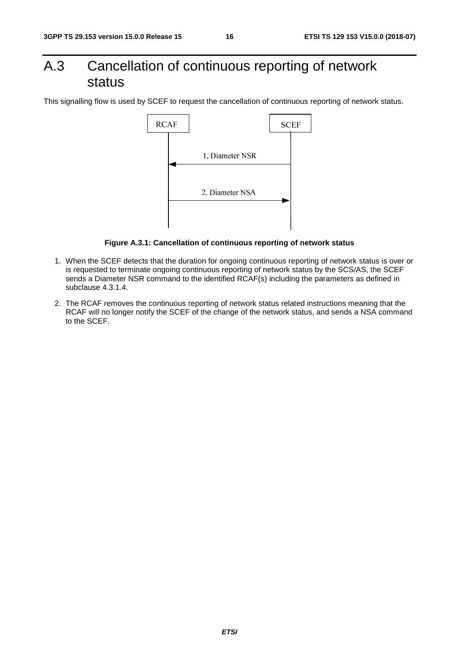# A.3 Cancellation of continuous reporting of network status

This signalling flow is used by SCEF to request the cancellation of continuous reporting of network status.



**Figure A.3.1: Cancellation of continuous reporting of network status** 

- 1. When the SCEF detects that the duration for ongoing continuous reporting of network status is over or is requested to terminate ongoing continuous reporting of network status by the SCS/AS, the SCEF sends a Diameter NSR command to the identified RCAF(s) including the parameters as defined in subclause 4.3.1.4.
- 2. The RCAF removes the continuous reporting of network status related instructions meaning that the RCAF will no longer notify the SCEF of the change of the network status, and sends a NSA command to the SCEF.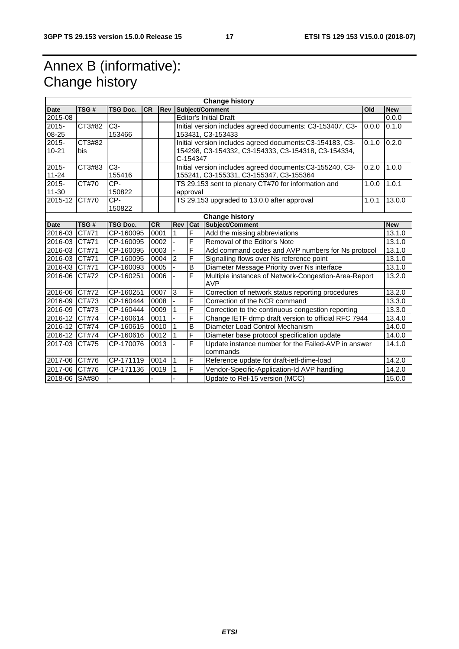# Annex B (informative): Change history

| <b>Change history</b> |               |                                      |           |                |                                |                                                                             |                                                                    |            |            |  |
|-----------------------|---------------|--------------------------------------|-----------|----------------|--------------------------------|-----------------------------------------------------------------------------|--------------------------------------------------------------------|------------|------------|--|
| <b>Date</b>           | TSG#          | <b>TSG Doc.</b>                      | <b>CR</b> | <b>Rev</b>     |                                | Subject/Comment<br>Old                                                      |                                                                    |            | <b>New</b> |  |
| 2015-08               |               |                                      |           |                |                                | <b>Editor's Initial Draft</b>                                               |                                                                    |            |            |  |
| $2015 -$              | CT3#82        | $C3-$                                |           |                |                                | Initial version includes agreed documents: C3-153407, C3-<br>0.1.0<br>0.0.0 |                                                                    |            |            |  |
| 08-25                 |               | 153466                               |           |                |                                | 153431, C3-153433                                                           |                                                                    |            |            |  |
| 2015-                 | CT3#82        |                                      |           |                |                                | Initial version includes agreed documents:C3-154183, C3-<br>0.1.0           |                                                                    |            |            |  |
| $10 - 21$             | bis           |                                      |           |                |                                | 154298, C3-154332, C3-154333, C3-154318, C3-154334,                         |                                                                    |            |            |  |
|                       |               |                                      |           |                |                                | C-154347                                                                    |                                                                    |            | 1.0.0      |  |
| 2015-                 | CT3#83        | C <sub>3</sub> -                     |           |                |                                | Initial version includes agreed documents:C3-155240, C3-<br>0.2.0           |                                                                    |            |            |  |
| $11 - 24$             |               | 155416                               |           |                |                                |                                                                             | 155241, C3-155331, C3-155347, C3-155364                            |            |            |  |
| 2015-                 | CT#70         | CP-                                  |           |                |                                |                                                                             | TS 29.153 sent to plenary CT#70 for information and                | 1.0.0      | 1.0.1      |  |
| $11 - 30$             |               | 150822                               |           |                |                                | approval                                                                    |                                                                    |            |            |  |
| $2015 - 12$           | CT#70         | CP-                                  |           |                |                                |                                                                             | TS 29.153 upgraded to 13.0.0 after approval                        | 1.0.1      | 13.0.0     |  |
|                       |               | 150822                               |           |                |                                |                                                                             |                                                                    |            |            |  |
| <b>Change history</b> |               |                                      |           |                |                                |                                                                             |                                                                    | <b>New</b> |            |  |
| <b>Date</b>           | TSG#          | <b>CR</b><br><b>TSG Doc.</b><br>0001 |           |                | <b>Rev</b>                     | Cat                                                                         | Subject/Comment                                                    |            |            |  |
| 2016-03               | CT#71         | CP-160095                            |           |                | $\overline{1}$                 | F<br>Add the missing abbreviations                                          |                                                                    |            | 13.1.0     |  |
| 2016-03               | CT#71         | CP-160095<br>0002                    |           |                |                                | F<br>Removal of the Editor's Note                                           |                                                                    |            | 13.1.0     |  |
| 2016-03               | CT#71         | CP-160095<br>0003                    |           |                |                                | F                                                                           | Add command codes and AVP numbers for Ns protocol                  |            | 13.1.0     |  |
| 2016-03               | CT#71         | 0004<br>CP-160095                    |           | $\overline{2}$ | F                              | Signalling flows over Ns reference point                                    |                                                                    | 13.1.0     |            |  |
| 2016-03 CT#71         |               | CP-160093<br>0005                    |           |                |                                | B                                                                           | Diameter Message Priority over Ns interface                        |            | 13.1.0     |  |
| 2016-06               | <b>CT#72</b>  | CP-160251<br>0006                    |           |                |                                | F                                                                           | Multiple instances of Network-Congestion-Area-Report<br><b>AVP</b> |            | 13.2.0     |  |
| 2016-06 CT#72         |               | CP-160251                            |           | 0007           | <sub>3</sub>                   | F                                                                           | Correction of network status reporting procedures                  |            | 13.2.0     |  |
| 2016-09 CT#73         |               | CP-160444<br>0008                    |           |                |                                | F                                                                           | Correction of the NCR command                                      |            | 13.3.0     |  |
| 2016-09 CT#73         |               | CP-160444                            |           | 0009           | 1                              | F                                                                           | Correction to the continuous congestion reporting                  |            |            |  |
| 2016-12               | CT#74         | CP-160614<br>0011                    |           |                | F                              | Change IETF drmp draft version to official RFC 7944                         |                                                                    | 13.4.0     |            |  |
| 2016-12               | CT#74         | CP-160615<br>0010                    |           |                | $\overline{B}$                 | Diameter Load Control Mechanism                                             |                                                                    | 14.0.0     |            |  |
| 2016-12               | CT#74         | CP-160616<br>0012                    |           |                | F                              | Diameter base protocol specification update                                 |                                                                    | 14.0.0     |            |  |
| 2017-03               | CT#75         | CP-170076                            |           | 0013           |                                | F                                                                           | Update instance number for the Failed-AVP in answer<br>commands    |            | 14.1.0     |  |
| 2017-06 CT#76         |               | CP-171119                            |           | 0014           | $\overline{1}$                 | F<br>Reference update for draft-ietf-dime-load                              |                                                                    |            | 14.2.0     |  |
| 2017-06               | CT#76         | CP-171136                            |           | 0019           |                                | F                                                                           | Vendor-Specific-Application-Id AVP handling                        |            | 14.2.0     |  |
|                       | 2018-06 SA#80 |                                      |           |                | Update to Rel-15 version (MCC) |                                                                             | 15.0.0                                                             |            |            |  |